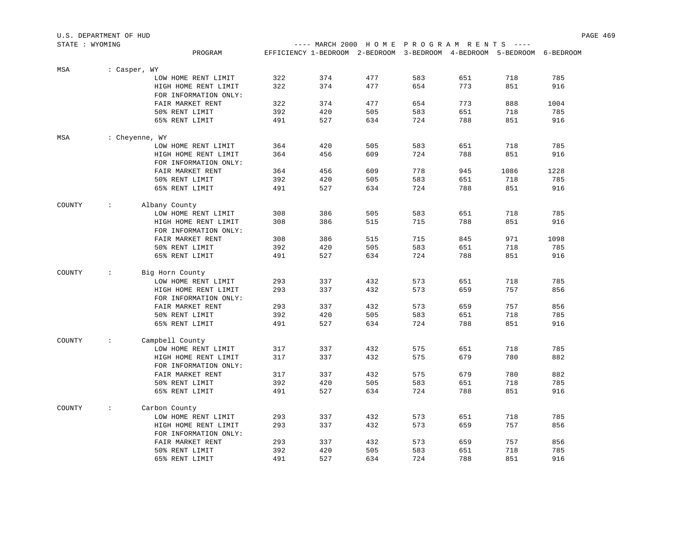| U.S. DEPARTMENT OF HUD |      |                                      |  | PAGE 469 |
|------------------------|------|--------------------------------------|--|----------|
| STATE : WYOMING        | ---- | - MARCH 2000 HOME PROGRAM RENTS ---- |  |          |

| DIAID , MIOMING |                             | PROGRAM               |            | L'ILLUIL AUUU | EFFICIENCY 1-BEDROOM 2-BEDROOM 3-BEDROOM 4-BEDROOM 5-BEDROOM 6-BEDROOM |            | II OME FROGRAM RENIO |            |            |
|-----------------|-----------------------------|-----------------------|------------|---------------|------------------------------------------------------------------------|------------|----------------------|------------|------------|
|                 |                             |                       |            |               |                                                                        |            |                      |            |            |
| MSA             | : Casper, WY                |                       |            |               |                                                                        |            |                      |            |            |
|                 |                             | LOW HOME RENT LIMIT   | 322        | 374           | 477                                                                    | 583        | 651                  | 718        | 785        |
|                 |                             | HIGH HOME RENT LIMIT  | 322        | 374           | 477                                                                    | 654        | 773                  | 851        | 916        |
|                 |                             | FOR INFORMATION ONLY: |            |               |                                                                        |            |                      |            |            |
|                 |                             | FAIR MARKET RENT      | 322        | 374           | 477                                                                    | 654        | 773                  | 888        | 1004       |
|                 |                             | 50% RENT LIMIT        | 392        | 420           | 505                                                                    | 583        | 651                  | 718        | 785        |
|                 |                             | 65% RENT LIMIT        | 491        | 527           | 634                                                                    | 724        | 788                  | 851        | 916        |
| MSA             | : Cheyenne, WY              |                       |            |               |                                                                        |            |                      |            |            |
|                 |                             | LOW HOME RENT LIMIT   | 364        | 420           | 505                                                                    | 583        | 651                  | 718        | 785        |
|                 |                             | HIGH HOME RENT LIMIT  | 364        | 456           | 609                                                                    | 724        | 788                  | 851        | 916        |
|                 |                             | FOR INFORMATION ONLY: |            |               |                                                                        |            |                      |            |            |
|                 |                             | FAIR MARKET RENT      | 364        | 456           | 609                                                                    | 778        | 945                  | 1086       | 1228       |
|                 |                             | 50% RENT LIMIT        | 392        | 420           | 505                                                                    | 583        | 651                  | 718        | 785        |
|                 |                             | 65% RENT LIMIT        | 491        | 527           | 634                                                                    | 724        | 788                  | 851        | 916        |
| COUNTY          | $\sim$                      | Albany County         |            |               |                                                                        |            |                      |            |            |
|                 |                             | LOW HOME RENT LIMIT   | 308        | 386           | 505                                                                    | 583        | 651                  | 718        | 785        |
|                 |                             | HIGH HOME RENT LIMIT  | 308        | 386           | 515                                                                    | 715        | 788                  | 851        | 916        |
|                 |                             | FOR INFORMATION ONLY: |            |               |                                                                        |            |                      |            |            |
|                 |                             | FAIR MARKET RENT      | 308        | 386           | 515                                                                    | 715        | 845                  | 971        | 1098       |
|                 |                             | 50% RENT LIMIT        | 392        | 420           | 505                                                                    | 583        | 651                  | 718        | 785        |
|                 |                             | 65% RENT LIMIT        | 491        | 527           | 634                                                                    | 724        | 788                  | 851        | 916        |
| COUNTY          | $\mathcal{Z}^{\mathcal{A}}$ | Big Horn County       |            |               |                                                                        |            |                      |            |            |
|                 |                             | LOW HOME RENT LIMIT   | 293        | 337           | 432                                                                    | 573        | 651                  | 718        | 785        |
|                 |                             | HIGH HOME RENT LIMIT  | 293        | 337           | 432                                                                    | 573        | 659                  | 757        | 856        |
|                 |                             | FOR INFORMATION ONLY: |            |               |                                                                        |            |                      |            |            |
|                 |                             | FAIR MARKET RENT      | 293        | 337           | 432                                                                    | 573        | 659                  | 757        | 856        |
|                 |                             | 50% RENT LIMIT        | 392        | 420           | 505                                                                    | 583        | 651                  | 718        | 785        |
|                 |                             | 65% RENT LIMIT        | 491        | 527           | 634                                                                    | 724        | 788                  | 851        | 916        |
|                 |                             |                       |            |               |                                                                        |            |                      |            |            |
| COUNTY          | $\sim$                      | Campbell County       |            |               |                                                                        |            |                      |            |            |
|                 |                             | LOW HOME RENT LIMIT   | 317        | 337           | 432                                                                    | 575        | 651                  | 718        | 785        |
|                 |                             | HIGH HOME RENT LIMIT  | 317        | 337           | 432                                                                    | 575        | 679                  | 780        | 882        |
|                 |                             | FOR INFORMATION ONLY: |            |               |                                                                        |            |                      |            |            |
|                 |                             | FAIR MARKET RENT      | 317        | 337           | 432                                                                    | 575        | 679                  | 780        | 882        |
|                 |                             | 50% RENT LIMIT        | 392        | 420           | 505                                                                    | 583        | 651                  | 718        | 785        |
|                 |                             | 65% RENT LIMIT        | 491        | 527           | 634                                                                    | 724        | 788                  | 851        | 916        |
| COUNTY          | $\sim$                      | Carbon County         |            |               |                                                                        |            |                      |            |            |
|                 |                             | LOW HOME RENT LIMIT   | 293        | 337           | 432                                                                    | 573        | 651                  | 718        | 785        |
|                 |                             | HIGH HOME RENT LIMIT  | 293        | 337           | 432                                                                    | 573        | 659                  | 757        | 856        |
|                 |                             | FOR INFORMATION ONLY: |            |               |                                                                        |            |                      |            |            |
|                 |                             | FAIR MARKET RENT      | 293        | 337           | 432                                                                    | 573        | 659                  | 757        | 856        |
|                 |                             | 50% RENT LIMIT        | 392<br>491 | 420<br>527    | 505<br>634                                                             | 583<br>724 | 651<br>788           | 718<br>851 | 785<br>916 |
|                 |                             | 65% RENT LIMIT        |            |               |                                                                        |            |                      |            |            |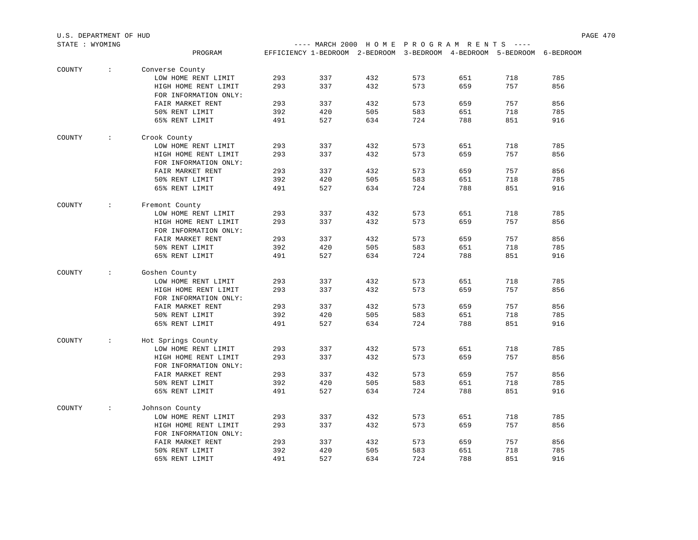| U.S. DEPARTMENT OF HUD | PAGE 470 |  |
|------------------------|----------|--|
|                        |          |  |

| STATE : WYOMING |         |  | $---$ MARCH 2000 HOME PROGRAM RENTS $---$ |                                                                        |  |
|-----------------|---------|--|-------------------------------------------|------------------------------------------------------------------------|--|
|                 | PROGRAM |  |                                           | EFFICIENCY 1-BEDROOM 2-BEDROOM 3-BEDROOM 4-BEDROOM 5-BEDROOM 6-BEDROOM |  |

| COUNTY | $\ddot{\phantom{a}}$ | Converse County                             |     |     |     |     |     |     |     |
|--------|----------------------|---------------------------------------------|-----|-----|-----|-----|-----|-----|-----|
|        |                      | LOW HOME RENT LIMIT                         | 293 | 337 | 432 | 573 | 651 | 718 | 785 |
|        |                      | HIGH HOME RENT LIMIT                        | 293 | 337 | 432 | 573 | 659 | 757 | 856 |
|        |                      | FOR INFORMATION ONLY:                       |     |     |     |     |     |     |     |
|        |                      | FAIR MARKET RENT                            | 293 | 337 | 432 | 573 | 659 | 757 | 856 |
|        |                      | 50% RENT LIMIT                              | 392 | 420 | 505 | 583 | 651 | 718 | 785 |
|        |                      | 65% RENT LIMIT                              | 491 | 527 | 634 | 724 | 788 | 851 | 916 |
|        |                      |                                             |     |     |     |     |     |     |     |
| COUNTY | $\ddot{\phantom{a}}$ | Crook County                                |     |     |     |     |     |     |     |
|        |                      | LOW HOME RENT LIMIT                         | 293 | 337 | 432 | 573 | 651 | 718 | 785 |
|        |                      | HIGH HOME RENT LIMIT                        | 293 | 337 | 432 | 573 | 659 | 757 | 856 |
|        |                      | FOR INFORMATION ONLY:                       |     |     |     |     |     |     |     |
|        |                      | FAIR MARKET RENT                            | 293 | 337 | 432 | 573 | 659 | 757 | 856 |
|        |                      | 50% RENT LIMIT                              | 392 | 420 | 505 | 583 | 651 | 718 | 785 |
|        |                      | 65% RENT LIMIT                              | 491 | 527 | 634 | 724 | 788 | 851 | 916 |
| COUNTY | $\ddot{\phantom{a}}$ |                                             |     |     |     |     |     |     |     |
|        |                      | Fremont County                              | 293 | 337 | 432 | 573 | 651 | 718 | 785 |
|        |                      | LOW HOME RENT LIMIT<br>HIGH HOME RENT LIMIT | 293 | 337 | 432 | 573 | 659 | 757 | 856 |
|        |                      | FOR INFORMATION ONLY:                       |     |     |     |     |     |     |     |
|        |                      | FAIR MARKET RENT                            | 293 | 337 | 432 | 573 | 659 | 757 | 856 |
|        |                      | 50% RENT LIMIT                              | 392 | 420 | 505 | 583 | 651 | 718 | 785 |
|        |                      |                                             | 491 | 527 | 634 | 724 | 788 | 851 | 916 |
|        |                      | 65% RENT LIMIT                              |     |     |     |     |     |     |     |
| COUNTY | $\ddot{\phantom{a}}$ | Goshen County                               |     |     |     |     |     |     |     |
|        |                      | LOW HOME RENT LIMIT                         | 293 | 337 | 432 | 573 | 651 | 718 | 785 |
|        |                      | HIGH HOME RENT LIMIT                        | 293 | 337 | 432 | 573 | 659 | 757 | 856 |
|        |                      | FOR INFORMATION ONLY:                       |     |     |     |     |     |     |     |
|        |                      | FAIR MARKET RENT                            | 293 | 337 | 432 | 573 | 659 | 757 | 856 |
|        |                      | 50% RENT LIMIT                              | 392 | 420 | 505 | 583 | 651 | 718 | 785 |
|        |                      | 65% RENT LIMIT                              | 491 | 527 | 634 | 724 | 788 | 851 | 916 |
|        |                      |                                             |     |     |     |     |     |     |     |
| COUNTY | $\ddot{\phantom{0}}$ | Hot Springs County<br>LOW HOME RENT LIMIT   | 293 | 337 | 432 | 573 | 651 | 718 | 785 |
|        |                      | HIGH HOME RENT LIMIT                        | 293 | 337 | 432 | 573 | 659 | 757 | 856 |
|        |                      | FOR INFORMATION ONLY:                       |     |     |     |     |     |     |     |
|        |                      | FAIR MARKET RENT                            | 293 | 337 | 432 | 573 | 659 | 757 | 856 |
|        |                      | 50% RENT LIMIT                              | 392 | 420 | 505 | 583 | 651 | 718 | 785 |
|        |                      | 65% RENT LIMIT                              | 491 | 527 | 634 | 724 | 788 | 851 | 916 |
|        |                      |                                             |     |     |     |     |     |     |     |
| COUNTY | $\ddot{\phantom{a}}$ | Johnson County                              |     |     |     |     |     |     |     |
|        |                      | LOW HOME RENT LIMIT                         | 293 | 337 | 432 | 573 | 651 | 718 | 785 |
|        |                      | HIGH HOME RENT LIMIT                        | 293 | 337 | 432 | 573 | 659 | 757 | 856 |
|        |                      | FOR INFORMATION ONLY:                       |     |     |     |     |     |     |     |
|        |                      | FAIR MARKET RENT                            | 293 | 337 | 432 | 573 | 659 | 757 | 856 |
|        |                      | 50% RENT LIMIT                              | 392 | 420 | 505 | 583 | 651 | 718 | 785 |
|        |                      | 65% RENT LIMIT                              | 491 | 527 | 634 | 724 | 788 | 851 | 916 |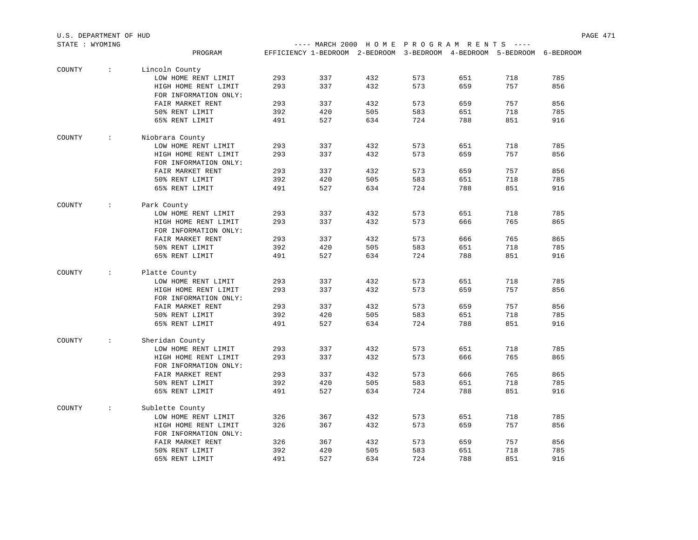| STATE : WYOMING |                      |                       |     |                                                                        |     |     | ---- MARCH 2000 HOME PROGRAM RENTS ---- |     |     |  |  |
|-----------------|----------------------|-----------------------|-----|------------------------------------------------------------------------|-----|-----|-----------------------------------------|-----|-----|--|--|
|                 |                      | PROGRAM               |     | EFFICIENCY 1-BEDROOM 2-BEDROOM 3-BEDROOM 4-BEDROOM 5-BEDROOM 6-BEDROOM |     |     |                                         |     |     |  |  |
|                 |                      |                       |     |                                                                        |     |     |                                         |     |     |  |  |
| COUNTY          | $\sim$               | Lincoln County        |     |                                                                        |     |     |                                         |     |     |  |  |
|                 |                      | LOW HOME RENT LIMIT   | 293 | 337                                                                    | 432 | 573 | 651                                     | 718 | 785 |  |  |
|                 |                      | HIGH HOME RENT LIMIT  | 293 | 337                                                                    | 432 | 573 | 659                                     | 757 | 856 |  |  |
|                 |                      | FOR INFORMATION ONLY: |     |                                                                        |     |     |                                         |     |     |  |  |
|                 |                      | FAIR MARKET RENT      | 293 | 337                                                                    | 432 | 573 | 659                                     | 757 | 856 |  |  |
|                 |                      | 50% RENT LIMIT        | 392 | 420                                                                    | 505 | 583 | 651                                     | 718 | 785 |  |  |
|                 |                      | 65% RENT LIMIT        | 491 | 527                                                                    | 634 | 724 | 788                                     | 851 | 916 |  |  |
| COUNTY          | $\ddot{\phantom{0}}$ | Niobrara County       |     |                                                                        |     |     |                                         |     |     |  |  |
|                 |                      | LOW HOME RENT LIMIT   | 293 | 337                                                                    | 432 | 573 | 651                                     | 718 | 785 |  |  |
|                 |                      | HIGH HOME RENT LIMIT  | 293 | 337                                                                    | 432 | 573 | 659                                     | 757 | 856 |  |  |
|                 |                      | FOR INFORMATION ONLY: |     |                                                                        |     |     |                                         |     |     |  |  |
|                 |                      | FAIR MARKET RENT      | 293 | 337                                                                    | 432 | 573 | 659                                     | 757 | 856 |  |  |
|                 |                      | 50% RENT LIMIT        | 392 | 420                                                                    | 505 | 583 | 651                                     | 718 | 785 |  |  |
|                 |                      | 65% RENT LIMIT        | 491 | 527                                                                    | 634 | 724 | 788                                     | 851 | 916 |  |  |
|                 |                      |                       |     |                                                                        |     |     |                                         |     |     |  |  |
| COUNTY          | $\mathcal{L}$        | Park County           |     |                                                                        |     |     |                                         |     |     |  |  |
|                 |                      | LOW HOME RENT LIMIT   | 293 | 337                                                                    | 432 | 573 | 651                                     | 718 | 785 |  |  |
|                 |                      | HIGH HOME RENT LIMIT  | 293 | 337                                                                    | 432 | 573 | 666                                     | 765 | 865 |  |  |
|                 |                      | FOR INFORMATION ONLY: |     |                                                                        |     |     |                                         |     |     |  |  |
|                 |                      | FAIR MARKET RENT      | 293 | 337                                                                    | 432 | 573 | 666                                     | 765 | 865 |  |  |
|                 |                      | 50% RENT LIMIT        | 392 | 420                                                                    | 505 | 583 | 651                                     | 718 | 785 |  |  |
|                 |                      | 65% RENT LIMIT        | 491 | 527                                                                    | 634 | 724 | 788                                     | 851 | 916 |  |  |
| COUNTY          | $\mathcal{L}$        | Platte County         |     |                                                                        |     |     |                                         |     |     |  |  |
|                 |                      | LOW HOME RENT LIMIT   | 293 | 337                                                                    | 432 | 573 | 651                                     | 718 | 785 |  |  |
|                 |                      | HIGH HOME RENT LIMIT  | 293 | 337                                                                    | 432 | 573 | 659                                     | 757 | 856 |  |  |
|                 |                      | FOR INFORMATION ONLY: |     |                                                                        |     |     |                                         |     |     |  |  |
|                 |                      | FAIR MARKET RENT      | 293 | 337                                                                    | 432 | 573 | 659                                     | 757 | 856 |  |  |
|                 |                      | 50% RENT LIMIT        | 392 | 420                                                                    | 505 | 583 | 651                                     | 718 | 785 |  |  |
|                 |                      | 65% RENT LIMIT        | 491 | 527                                                                    | 634 | 724 | 788                                     | 851 | 916 |  |  |
|                 |                      |                       |     |                                                                        |     |     |                                         |     |     |  |  |
| COUNTY          | $\sim$               | Sheridan County       | 293 | 337                                                                    | 432 | 573 | 651                                     | 718 | 785 |  |  |
|                 |                      | LOW HOME RENT LIMIT   |     |                                                                        |     |     |                                         |     |     |  |  |
|                 |                      | HIGH HOME RENT LIMIT  | 293 | 337                                                                    | 432 | 573 | 666                                     | 765 | 865 |  |  |
|                 |                      | FOR INFORMATION ONLY: |     |                                                                        |     |     |                                         |     |     |  |  |
|                 |                      | FAIR MARKET RENT      | 293 | 337                                                                    | 432 | 573 | 666                                     | 765 | 865 |  |  |
|                 |                      | 50% RENT LIMIT        | 392 | 420                                                                    | 505 | 583 | 651                                     | 718 | 785 |  |  |
|                 |                      | 65% RENT LIMIT        | 491 | 527                                                                    | 634 | 724 | 788                                     | 851 | 916 |  |  |
| COUNTY          | $\sim$               | Sublette County       |     |                                                                        |     |     |                                         |     |     |  |  |
|                 |                      | LOW HOME RENT LIMIT   | 326 | 367                                                                    | 432 | 573 | 651                                     | 718 | 785 |  |  |
|                 |                      | HIGH HOME RENT LIMIT  | 326 | 367                                                                    | 432 | 573 | 659                                     | 757 | 856 |  |  |
|                 |                      | FOR INFORMATION ONLY: |     |                                                                        |     |     |                                         |     |     |  |  |
|                 |                      | FAIR MARKET RENT      | 326 | 367                                                                    | 432 | 573 | 659                                     | 757 | 856 |  |  |
|                 |                      | 50% RENT LIMIT        | 392 | 420                                                                    | 505 | 583 | 651                                     | 718 | 785 |  |  |
|                 |                      | 65% RENT LIMIT        | 491 | 527                                                                    | 634 | 724 | 788                                     | 851 | 916 |  |  |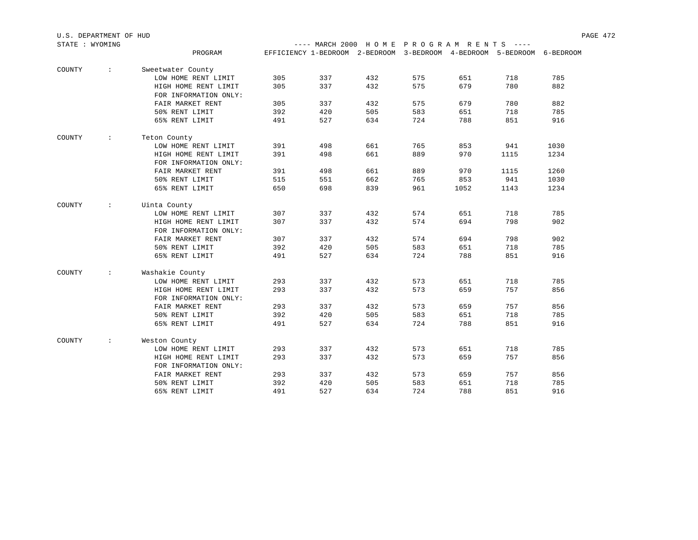| U.S. DEPARTMENT OF HUD |                                         |  |  | PAGE 472 |
|------------------------|-----------------------------------------|--|--|----------|
| STATE<br>WYOMING       | ---- MARCH 2000 HOME PROGRAM RENTS ---- |  |  |          |

|        |                      | PROGRAM               |     |     |     |     | EFFICIENCY 1-BEDROOM 2-BEDROOM 3-BEDROOM 4-BEDROOM 5-BEDROOM |      | 6-BEDROOM |
|--------|----------------------|-----------------------|-----|-----|-----|-----|--------------------------------------------------------------|------|-----------|
| COUNTY | $\ddot{\phantom{a}}$ | Sweetwater County     |     |     |     |     |                                                              |      |           |
|        |                      | LOW HOME RENT LIMIT   | 305 | 337 | 432 | 575 | 651                                                          | 718  | 785       |
|        |                      | HIGH HOME RENT LIMIT  | 305 | 337 | 432 | 575 | 679                                                          | 780  | 882       |
|        |                      | FOR INFORMATION ONLY: |     |     |     |     |                                                              |      |           |
|        |                      | FAIR MARKET RENT      | 305 | 337 | 432 | 575 | 679                                                          | 780  | 882       |
|        |                      | 50% RENT LIMIT        | 392 | 420 | 505 | 583 | 651                                                          | 718  | 785       |
|        |                      | 65% RENT LIMIT        | 491 | 527 | 634 | 724 | 788                                                          | 851  | 916       |
|        |                      |                       |     |     |     |     |                                                              |      |           |
| COUNTY | $\ddot{\phantom{0}}$ | Teton County          |     |     |     |     |                                                              |      |           |
|        |                      | LOW HOME RENT LIMIT   | 391 | 498 | 661 | 765 | 853                                                          | 941  | 1030      |
|        |                      | HIGH HOME RENT LIMIT  | 391 | 498 | 661 | 889 | 970                                                          | 1115 | 1234      |
|        |                      | FOR INFORMATION ONLY: |     |     |     |     |                                                              |      |           |
|        |                      | FAIR MARKET RENT      | 391 | 498 | 661 | 889 | 970                                                          | 1115 | 1260      |
|        |                      | 50% RENT LIMIT        | 515 | 551 | 662 | 765 | 853                                                          | 941  | 1030      |
|        |                      | 65% RENT LIMIT        | 650 | 698 | 839 | 961 | 1052                                                         | 1143 | 1234      |
| COUNTY | $\ddot{\phantom{a}}$ | Uinta County          |     |     |     |     |                                                              |      |           |
|        |                      | LOW HOME RENT LIMIT   | 307 | 337 | 432 | 574 | 651                                                          | 718  | 785       |
|        |                      | HIGH HOME RENT LIMIT  | 307 | 337 | 432 | 574 | 694                                                          | 798  | 902       |
|        |                      | FOR INFORMATION ONLY: |     |     |     |     |                                                              |      |           |
|        |                      | FAIR MARKET RENT      | 307 | 337 | 432 | 574 | 694                                                          | 798  | 902       |
|        |                      | 50% RENT LIMIT        | 392 | 420 | 505 | 583 | 651                                                          | 718  | 785       |
|        |                      | 65% RENT LIMIT        | 491 | 527 | 634 | 724 | 788                                                          | 851  | 916       |
|        |                      |                       |     |     |     |     |                                                              |      |           |
| COUNTY | $\ddot{\phantom{a}}$ | Washakie County       |     |     |     |     |                                                              |      |           |
|        |                      | LOW HOME RENT LIMIT   | 293 | 337 | 432 | 573 | 651                                                          | 718  | 785       |
|        |                      | HIGH HOME RENT LIMIT  | 293 | 337 | 432 | 573 | 659                                                          | 757  | 856       |
|        |                      | FOR INFORMATION ONLY: |     |     |     |     |                                                              |      |           |
|        |                      | FAIR MARKET RENT      | 293 | 337 | 432 | 573 | 659                                                          | 757  | 856       |
|        |                      | 50% RENT LIMIT        | 392 | 420 | 505 | 583 | 651                                                          | 718  | 785       |
|        |                      | 65% RENT LIMIT        | 491 | 527 | 634 | 724 | 788                                                          | 851  | 916       |
| COUNTY | $\ddot{\phantom{a}}$ | Weston County         |     |     |     |     |                                                              |      |           |
|        |                      | LOW HOME RENT LIMIT   | 293 | 337 | 432 | 573 | 651                                                          | 718  | 785       |
|        |                      | HIGH HOME RENT LIMIT  | 293 | 337 | 432 | 573 | 659                                                          | 757  | 856       |
|        |                      | FOR INFORMATION ONLY: |     |     |     |     |                                                              |      |           |
|        |                      | FAIR MARKET RENT      | 293 | 337 | 432 | 573 | 659                                                          | 757  | 856       |
|        |                      | 50% RENT LIMIT        | 392 | 420 | 505 | 583 | 651                                                          | 718  | 785       |
|        |                      | 65% RENT LIMIT        | 491 | 527 | 634 | 724 | 788                                                          | 851  | 916       |